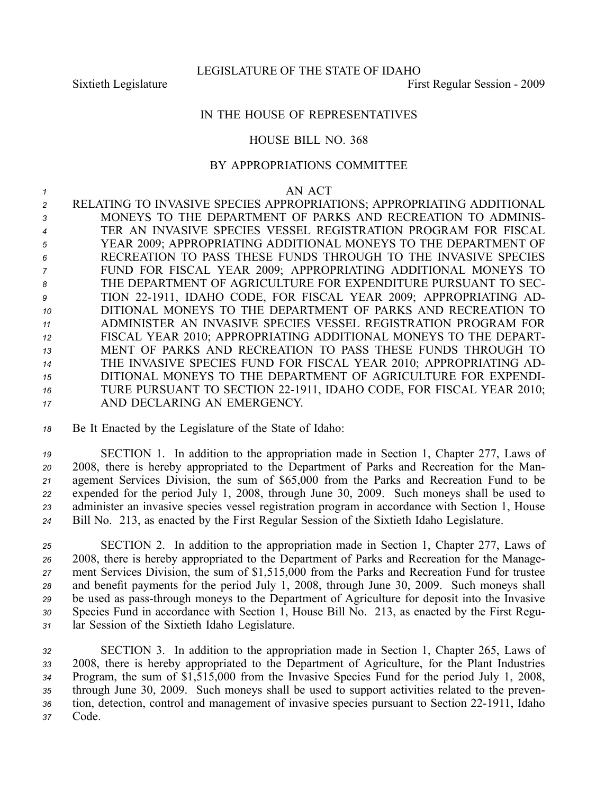## IN THE HOUSE OF REPRESENTATIVES

## HOUSE BILL NO. 368

## BY APPROPRIATIONS COMMITTEE

## *1* AN ACT

 RELATING TO INVASIVE SPECIES APPROPRIATIONS; APPROPRIATING ADDITIONAL MONEYS TO THE DEPARTMENT OF PARKS AND RECREATION TO ADMINIS- TER AN INVASIVE SPECIES VESSEL REGISTRATION PROGRAM FOR FISCAL YEAR 2009; APPROPRIATING ADDITIONAL MONEYS TO THE DEPARTMENT OF RECREATION TO PASS THESE FUNDS THROUGH TO THE INVASIVE SPECIES FUND FOR FISCAL YEAR 2009; APPROPRIATING ADDITIONAL MONEYS TO THE DEPARTMENT OF AGRICULTURE FOR EXPENDITURE PURSUANT TO SEC-9 TION 22-1911, IDAHO CODE, FOR FISCAL YEAR 2009; APPROPRIATING AD- DITIONAL MONEYS TO THE DEPARTMENT OF PARKS AND RECREATION TO ADMINISTER AN INVASIVE SPECIES VESSEL REGISTRATION PROGRAM FOR FISCAL YEAR 2010; APPROPRIATING ADDITIONAL MONEYS TO THE DEPART- MENT OF PARKS AND RECREATION TO PASS THESE FUNDS THROUGH TO THE INVASIVE SPECIES FUND FOR FISCAL YEAR 2010; APPROPRIATING AD- DITIONAL MONEYS TO THE DEPARTMENT OF AGRICULTURE FOR EXPENDI-16 TURE PURSUANT TO SECTION 22-1911, IDAHO CODE, FOR FISCAL YEAR 2010; AND DECLARING AN EMERGENCY.

*<sup>18</sup>* Be It Enacted by the Legislature of the State of Idaho:

 SECTION 1. In addition to the appropriation made in Section 1, Chapter 277, Laws of 2008, there is hereby appropriated to the Department of Parks and Recreation for the Man- agemen<sup>t</sup> Services Division, the sum of \$65,000 from the Parks and Recreation Fund to be expended for the period July 1, 2008, through June 30, 2009. Such moneys shall be used to administer an invasive species vessel registration program in accordance with Section 1, House Bill No. 213, as enacted by the First Regular Session of the Sixtieth Idaho Legislature.

 SECTION 2. In addition to the appropriation made in Section 1, Chapter 277, Laws of 2008, there is hereby appropriated to the Department of Parks and Recreation for the Manage- ment Services Division, the sum of \$1,515,000 from the Parks and Recreation Fund for trustee and benefit payments for the period July 1, 2008, through June 30, 2009. Such moneys shall 29 be used as pass-through moneys to the Department of Agriculture for deposit into the Invasive Species Fund in accordance with Section 1, House Bill No. 213, as enacted by the First Regu-lar Session of the Sixtieth Idaho Legislature.

 SECTION 3. In addition to the appropriation made in Section 1, Chapter 265, Laws of 2008, there is hereby appropriated to the Department of Agriculture, for the Plant Industries Program, the sum of \$1,515,000 from the Invasive Species Fund for the period July 1, 2008, through June 30, 2009. Such moneys shall be used to suppor<sup>t</sup> activities related to the preven-36 tion, detection, control and management of invasive species pursuant to Section 22-1911, Idaho *<sup>37</sup>* Code.